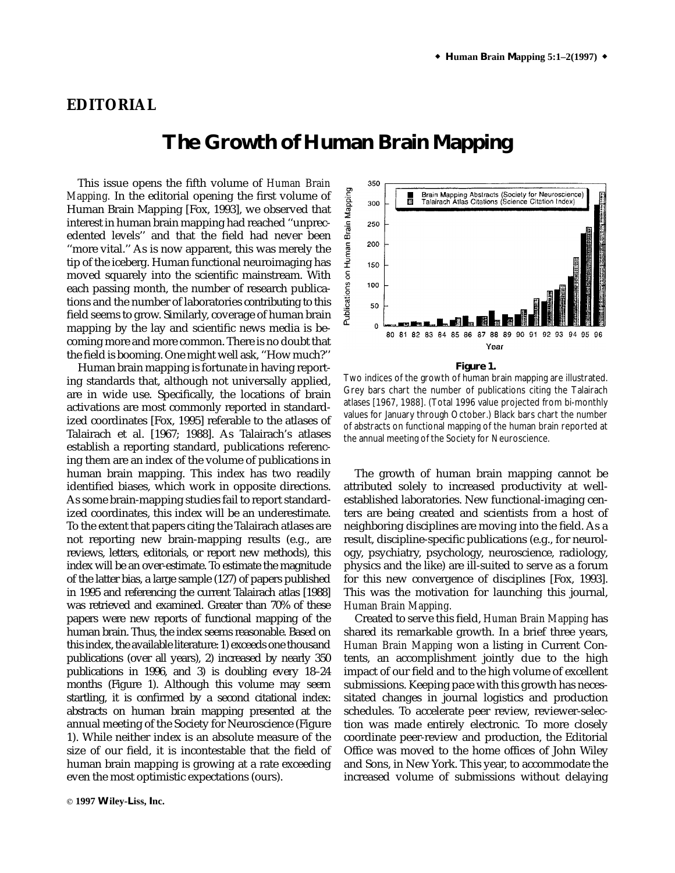## **EDITORIAL**

## **The Growth of Human Brain Mapping**

This issue opens the fifth volume of *Human Brain Mapping.* In the editorial opening the first volume of Human Brain Mapping [Fox, 1993], we observed that interest in human brain mapping had reached ''unprecedented levels'' and that the field had never been ''more vital.'' As is now apparent, this was merely the tip of the iceberg. Human functional neuroimaging has moved squarely into the scientific mainstream. With each passing month, the number of research publications and the number of laboratories contributing to this field seems to grow. Similarly, coverage of human brain mapping by the lay and scientific news media is becoming more and more common. There is no doubt that the field is booming. One might well ask, ''How much?''

Human brain mapping is fortunate in having reporting standards that, although not universally applied, are in wide use. Specifically, the locations of brain activations are most commonly reported in standardized coordinates [Fox, 1995] referable to the atlases of Talairach et al. [1967; 1988]. As Talairach's atlases establish a reporting standard, publications referencing them are an index of the volume of publications in human brain mapping. This index has two readily identified biases, which work in opposite directions. As some brain-mapping studies fail to report standardized coordinates, this index will be an underestimate. To the extent that papers citing the Talairach atlases are not reporting new brain-mapping results (e.g., are reviews, letters, editorials, or report new methods), this index will be an over-estimate. To estimate the magnitude of the latter bias, a large sample (127) of papers published in 1995 and referencing the current Talairach atlas [1988] was retrieved and examined. Greater than 70% of these papers were new reports of functional mapping of the human brain. Thus, the index seems reasonable. Based on this index, the available literature: 1) exceeds one thousand publications (over all years), 2) increased by nearly 350 publications in 1996, and 3) is doubling every 18–24 months (Figure 1). Although this volume may seem startling, it is confirmed by a second citational index: abstracts on human brain mapping presented at the annual meeting of the Society for Neuroscience (Figure 1). While neither index is an absolute measure of the size of our field, it is incontestable that the field of human brain mapping is growing at a rate exceeding even the most optimistic expectations (ours).



**Figure 1.**

Two indices of the growth of human brain mapping are illustrated. Grey bars chart the number of publications citing the Talairach atlases [1967, 1988]. (Total 1996 value projected from bi-monthly values for January through October.) Black bars chart the number of abstracts on functional mapping of the human brain reported at the annual meeting of the Society for Neuroscience.

The growth of human brain mapping cannot be attributed solely to increased productivity at wellestablished laboratories. New functional-imaging centers are being created and scientists from a host of neighboring disciplines are moving into the field. As a result, discipline-specific publications (e.g., for neurology, psychiatry, psychology, neuroscience, radiology, physics and the like) are ill-suited to serve as a forum for this new convergence of disciplines [Fox, 1993]. This was the motivation for launching this journal, *Human Brain Mapping.*

Created to serve this field, *Human Brain Mapping* has shared its remarkable growth. In a brief three years, *Human Brain Mapping* won a listing in Current Contents, an accomplishment jointly due to the high impact of our field and to the high volume of excellent submissions. Keeping pace with this growth has necessitated changes in journal logistics and production schedules. To accelerate peer review, reviewer-selection was made entirely electronic. To more closely coordinate peer-review and production, the Editorial Office was moved to the home offices of John Wiley and Sons, in New York. This year, to accommodate the increased volume of submissions without delaying